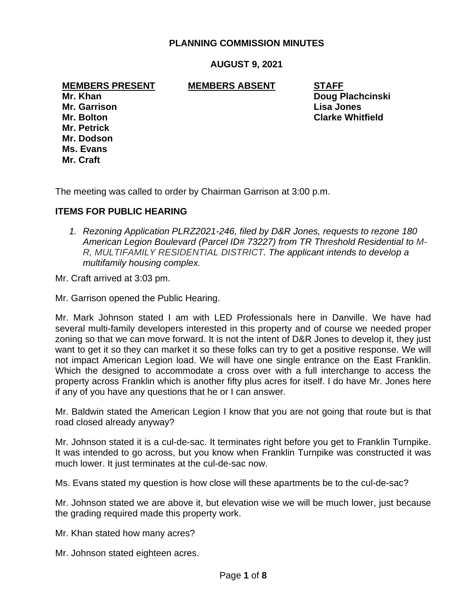## **PLANNING COMMISSION MINUTES**

## **AUGUST 9, 2021**

#### **MEMBERS PRESENT MEMBERS ABSENT STAFF**

**Mr. Garrison Lisa Jones Mr. Petrick Mr. Dodson Ms. Evans Mr. Craft**

**Mr. Khan Doug Plachcinski Mr. Bolton Clarke Whitfield**

The meeting was called to order by Chairman Garrison at 3:00 p.m.

#### **ITEMS FOR PUBLIC HEARING**

*1. Rezoning Application PLRZ2021-246, filed by D&R Jones, requests to rezone 180 American Legion Boulevard (Parcel ID# 73227) from TR Threshold Residential to M-R, MULTIFAMILY RESIDENTIAL DISTRICT. The applicant intends to develop a multifamily housing complex.*

Mr. Craft arrived at 3:03 pm.

Mr. Garrison opened the Public Hearing.

Mr. Mark Johnson stated I am with LED Professionals here in Danville. We have had several multi-family developers interested in this property and of course we needed proper zoning so that we can move forward. It is not the intent of D&R Jones to develop it, they just want to get it so they can market it so these folks can try to get a positive response. We will not impact American Legion load. We will have one single entrance on the East Franklin. Which the designed to accommodate a cross over with a full interchange to access the property across Franklin which is another fifty plus acres for itself. I do have Mr. Jones here if any of you have any questions that he or I can answer.

Mr. Baldwin stated the American Legion I know that you are not going that route but is that road closed already anyway?

Mr. Johnson stated it is a cul-de-sac. It terminates right before you get to Franklin Turnpike. It was intended to go across, but you know when Franklin Turnpike was constructed it was much lower. It just terminates at the cul-de-sac now.

Ms. Evans stated my question is how close will these apartments be to the cul-de-sac?

Mr. Johnson stated we are above it, but elevation wise we will be much lower, just because the grading required made this property work.

Mr. Khan stated how many acres?

Mr. Johnson stated eighteen acres.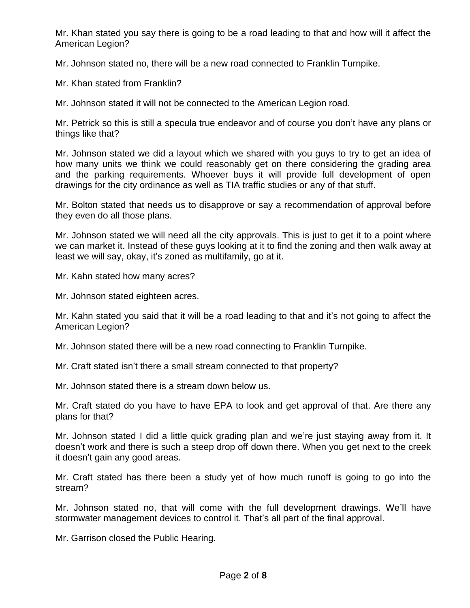Mr. Khan stated you say there is going to be a road leading to that and how will it affect the American Legion?

Mr. Johnson stated no, there will be a new road connected to Franklin Turnpike.

Mr. Khan stated from Franklin?

Mr. Johnson stated it will not be connected to the American Legion road.

Mr. Petrick so this is still a specula true endeavor and of course you don't have any plans or things like that?

Mr. Johnson stated we did a layout which we shared with you guys to try to get an idea of how many units we think we could reasonably get on there considering the grading area and the parking requirements. Whoever buys it will provide full development of open drawings for the city ordinance as well as TIA traffic studies or any of that stuff.

Mr. Bolton stated that needs us to disapprove or say a recommendation of approval before they even do all those plans.

Mr. Johnson stated we will need all the city approvals. This is just to get it to a point where we can market it. Instead of these guys looking at it to find the zoning and then walk away at least we will say, okay, it's zoned as multifamily, go at it.

Mr. Kahn stated how many acres?

Mr. Johnson stated eighteen acres.

Mr. Kahn stated you said that it will be a road leading to that and it's not going to affect the American Legion?

Mr. Johnson stated there will be a new road connecting to Franklin Turnpike.

Mr. Craft stated isn't there a small stream connected to that property?

Mr. Johnson stated there is a stream down below us.

Mr. Craft stated do you have to have EPA to look and get approval of that. Are there any plans for that?

Mr. Johnson stated I did a little quick grading plan and we're just staying away from it. It doesn't work and there is such a steep drop off down there. When you get next to the creek it doesn't gain any good areas.

Mr. Craft stated has there been a study yet of how much runoff is going to go into the stream?

Mr. Johnson stated no, that will come with the full development drawings. We'll have stormwater management devices to control it. That's all part of the final approval.

Mr. Garrison closed the Public Hearing.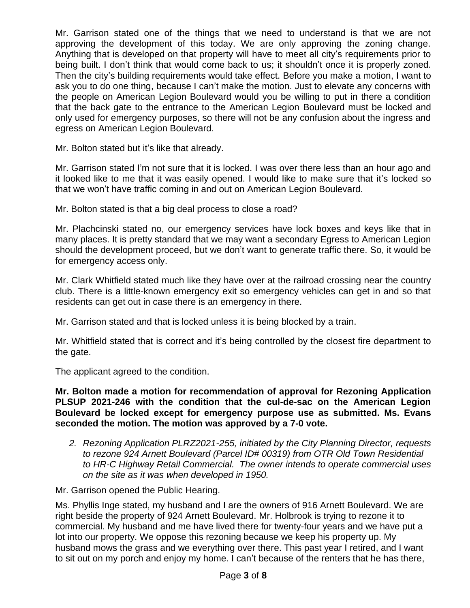Mr. Garrison stated one of the things that we need to understand is that we are not approving the development of this today. We are only approving the zoning change. Anything that is developed on that property will have to meet all city's requirements prior to being built. I don't think that would come back to us; it shouldn't once it is properly zoned. Then the city's building requirements would take effect. Before you make a motion, I want to ask you to do one thing, because I can't make the motion. Just to elevate any concerns with the people on American Legion Boulevard would you be willing to put in there a condition that the back gate to the entrance to the American Legion Boulevard must be locked and only used for emergency purposes, so there will not be any confusion about the ingress and egress on American Legion Boulevard.

Mr. Bolton stated but it's like that already.

Mr. Garrison stated I'm not sure that it is locked. I was over there less than an hour ago and it looked like to me that it was easily opened. I would like to make sure that it's locked so that we won't have traffic coming in and out on American Legion Boulevard.

Mr. Bolton stated is that a big deal process to close a road?

Mr. Plachcinski stated no, our emergency services have lock boxes and keys like that in many places. It is pretty standard that we may want a secondary Egress to American Legion should the development proceed, but we don't want to generate traffic there. So, it would be for emergency access only.

Mr. Clark Whitfield stated much like they have over at the railroad crossing near the country club. There is a little-known emergency exit so emergency vehicles can get in and so that residents can get out in case there is an emergency in there.

Mr. Garrison stated and that is locked unless it is being blocked by a train.

Mr. Whitfield stated that is correct and it's being controlled by the closest fire department to the gate.

The applicant agreed to the condition.

**Mr. Bolton made a motion for recommendation of approval for Rezoning Application PLSUP 2021-246 with the condition that the cul-de-sac on the American Legion Boulevard be locked except for emergency purpose use as submitted. Ms. Evans seconded the motion. The motion was approved by a 7-0 vote.**

*2. Rezoning Application PLRZ2021-255, initiated by the City Planning Director, requests to rezone 924 Arnett Boulevard (Parcel ID# 00319) from OTR Old Town Residential to HR-C Highway Retail Commercial. The owner intends to operate commercial uses on the site as it was when developed in 1950.*

Mr. Garrison opened the Public Hearing.

Ms. Phyllis Inge stated, my husband and I are the owners of 916 Arnett Boulevard. We are right beside the property of 924 Arnett Boulevard. Mr. Holbrook is trying to rezone it to commercial. My husband and me have lived there for twenty-four years and we have put a lot into our property. We oppose this rezoning because we keep his property up. My husband mows the grass and we everything over there. This past year I retired, and I want to sit out on my porch and enjoy my home. I can't because of the renters that he has there,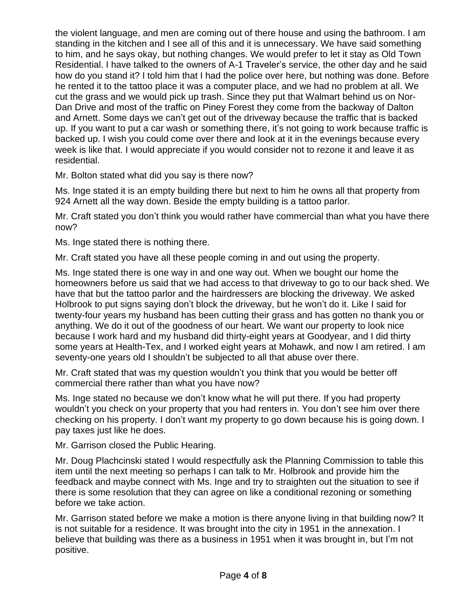the violent language, and men are coming out of there house and using the bathroom. I am standing in the kitchen and I see all of this and it is unnecessary. We have said something to him, and he says okay, but nothing changes. We would prefer to let it stay as Old Town Residential. I have talked to the owners of A-1 Traveler's service, the other day and he said how do you stand it? I told him that I had the police over here, but nothing was done. Before he rented it to the tattoo place it was a computer place, and we had no problem at all. We cut the grass and we would pick up trash. Since they put that Walmart behind us on Nor-Dan Drive and most of the traffic on Piney Forest they come from the backway of Dalton and Arnett. Some days we can't get out of the driveway because the traffic that is backed up. If you want to put a car wash or something there, it's not going to work because traffic is backed up. I wish you could come over there and look at it in the evenings because every week is like that. I would appreciate if you would consider not to rezone it and leave it as residential.

Mr. Bolton stated what did you say is there now?

Ms. Inge stated it is an empty building there but next to him he owns all that property from 924 Arnett all the way down. Beside the empty building is a tattoo parlor.

Mr. Craft stated you don't think you would rather have commercial than what you have there now?

Ms. Inge stated there is nothing there.

Mr. Craft stated you have all these people coming in and out using the property.

Ms. Inge stated there is one way in and one way out. When we bought our home the homeowners before us said that we had access to that driveway to go to our back shed. We have that but the tattoo parlor and the hairdressers are blocking the driveway. We asked Holbrook to put signs saying don't block the driveway, but he won't do it. Like I said for twenty-four years my husband has been cutting their grass and has gotten no thank you or anything. We do it out of the goodness of our heart. We want our property to look nice because I work hard and my husband did thirty-eight years at Goodyear, and I did thirty some years at Health-Tex, and I worked eight years at Mohawk, and now I am retired. I am seventy-one years old I shouldn't be subjected to all that abuse over there.

Mr. Craft stated that was my question wouldn't you think that you would be better off commercial there rather than what you have now?

Ms. Inge stated no because we don't know what he will put there. If you had property wouldn't you check on your property that you had renters in. You don't see him over there checking on his property. I don't want my property to go down because his is going down. I pay taxes just like he does.

Mr. Garrison closed the Public Hearing.

Mr. Doug Plachcinski stated I would respectfully ask the Planning Commission to table this item until the next meeting so perhaps I can talk to Mr. Holbrook and provide him the feedback and maybe connect with Ms. Inge and try to straighten out the situation to see if there is some resolution that they can agree on like a conditional rezoning or something before we take action.

Mr. Garrison stated before we make a motion is there anyone living in that building now? It is not suitable for a residence. It was brought into the city in 1951 in the annexation. I believe that building was there as a business in 1951 when it was brought in, but I'm not positive.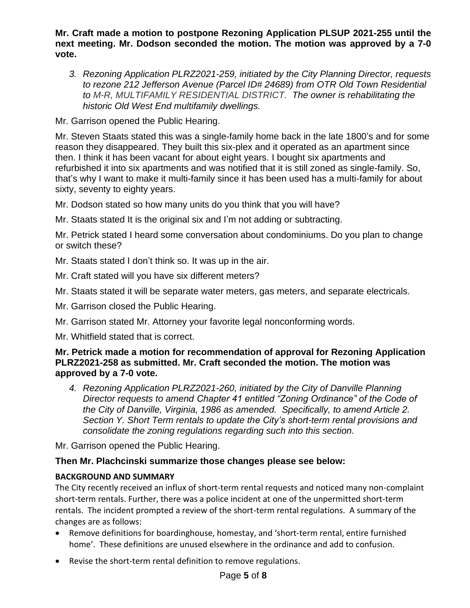**Mr. Craft made a motion to postpone Rezoning Application PLSUP 2021-255 until the next meeting. Mr. Dodson seconded the motion. The motion was approved by a 7-0 vote.** 

*3. Rezoning Application PLRZ2021-259, initiated by the City Planning Director, requests to rezone 212 Jefferson Avenue (Parcel ID# 24689) from OTR Old Town Residential to M-R, MULTIFAMILY RESIDENTIAL DISTRICT. The owner is rehabilitating the historic Old West End multifamily dwellings.*

Mr. Garrison opened the Public Hearing.

Mr. Steven Staats stated this was a single-family home back in the late 1800's and for some reason they disappeared. They built this six-plex and it operated as an apartment since then. I think it has been vacant for about eight years. I bought six apartments and refurbished it into six apartments and was notified that it is still zoned as single-family. So, that's why I want to make it multi-family since it has been used has a multi-family for about sixty, seventy to eighty years.

Mr. Dodson stated so how many units do you think that you will have?

Mr. Staats stated It is the original six and I'm not adding or subtracting.

Mr. Petrick stated I heard some conversation about condominiums. Do you plan to change or switch these?

Mr. Staats stated I don't think so. It was up in the air.

Mr. Craft stated will you have six different meters?

Mr. Staats stated it will be separate water meters, gas meters, and separate electricals.

Mr. Garrison closed the Public Hearing.

Mr. Garrison stated Mr. Attorney your favorite legal nonconforming words.

Mr. Whitfield stated that is correct.

## **Mr. Petrick made a motion for recommendation of approval for Rezoning Application PLRZ2021-258 as submitted. Mr. Craft seconded the motion. The motion was approved by a 7-0 vote.**

*4. Rezoning Application PLRZ2021-260, initiated by the City of Danville Planning Director requests to amend Chapter 41 entitled "Zoning Ordinance" of the Code of the City of Danville, Virginia, 1986 as amended. Specifically, to amend Article 2. Section Y. Short Term rentals to update the City's short-term rental provisions and consolidate the zoning regulations regarding such into this section.*

Mr. Garrison opened the Public Hearing.

# **Then Mr. Plachcinski summarize those changes please see below:**

## **BACKGROUND AND SUMMARY**

The City recently received an influx of short-term rental requests and noticed many non-complaint short-term rentals. Further, there was a police incident at one of the unpermitted short-term rentals. The incident prompted a review of the short-term rental regulations. A summary of the changes are as follows:

- Remove definitions for boardinghouse, homestay, and 'short-term rental, entire furnished home'. These definitions are unused elsewhere in the ordinance and add to confusion.
- Revise the short-term rental definition to remove regulations.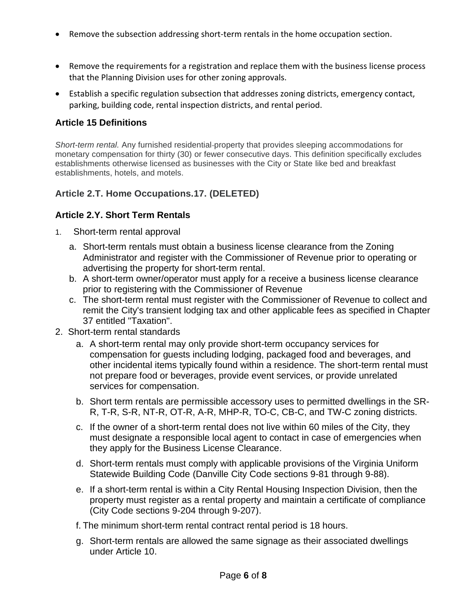- Remove the subsection addressing short-term rentals in the home occupation section.
- Remove the requirements for a registration and replace them with the business license process that the Planning Division uses for other zoning approvals.
- Establish a specific regulation subsection that addresses zoning districts, emergency contact, parking, building code, rental inspection districts, and rental period.

# **Article 15 Definitions**

*Short-term rental.* Any furnished residential property that provides sleeping accommodations for monetary compensation for thirty (30) or fewer consecutive days. This definition specifically excludes establishments otherwise licensed as businesses with the City or State like bed and breakfast establishments, hotels, and motels.

# **Article 2.T. Home Occupations.17. (DELETED)**

# **Article 2.Y. Short Term Rentals**

- 1. Short-term rental approval
	- a. Short-term rentals must obtain a business license clearance from the Zoning Administrator and register with the Commissioner of Revenue prior to operating or advertising the property for short-term rental.
	- b. A short-term owner/operator must apply for a receive a business license clearance prior to registering with the Commissioner of Revenue
	- c. The short-term rental must register with the Commissioner of Revenue to collect and remit the City's transient lodging tax and other applicable fees as specified in Chapter 37 entitled "Taxation".
- 2. Short-term rental standards
	- a. A short-term rental may only provide short-term occupancy services for compensation for guests including lodging, packaged food and beverages, and other incidental items typically found within a residence. The short-term rental must not prepare food or beverages, provide event services, or provide unrelated services for compensation.
	- b. Short term rentals are permissible accessory uses to permitted dwellings in the SR-R, T-R, S-R, NT-R, OT-R, A-R, MHP-R, TO-C, CB-C, and TW-C zoning districts.
	- c. If the owner of a short-term rental does not live within 60 miles of the City, they must designate a responsible local agent to contact in case of emergencies when they apply for the Business License Clearance.
	- d. Short-term rentals must comply with applicable provisions of the Virginia Uniform Statewide Building Code (Danville City Code sections 9-81 through 9-88).
	- e. If a short-term rental is within a City Rental Housing Inspection Division, then the property must register as a rental property and maintain a certificate of compliance (City Code sections 9-204 through 9-207).
	- f. The minimum short-term rental contract rental period is 18 hours.
	- g. Short-term rentals are allowed the same signage as their associated dwellings under Article 10.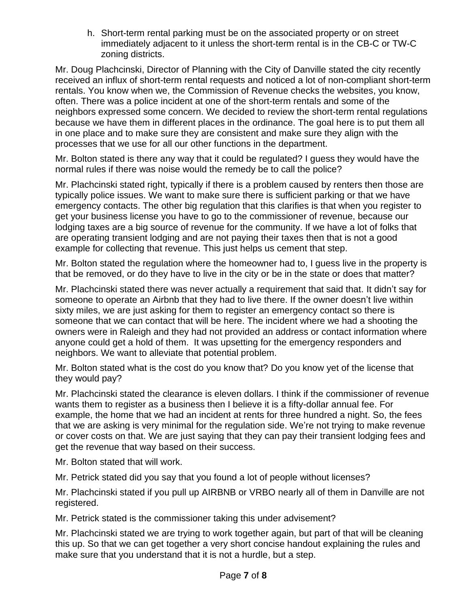h. Short-term rental parking must be on the associated property or on street immediately adjacent to it unless the short-term rental is in the CB-C or TW-C zoning districts.

Mr. Doug Plachcinski, Director of Planning with the City of Danville stated the city recently received an influx of short-term rental requests and noticed a lot of non-compliant short-term rentals. You know when we, the Commission of Revenue checks the websites, you know, often. There was a police incident at one of the short-term rentals and some of the neighbors expressed some concern. We decided to review the short-term rental regulations because we have them in different places in the ordinance. The goal here is to put them all in one place and to make sure they are consistent and make sure they align with the processes that we use for all our other functions in the department.

Mr. Bolton stated is there any way that it could be regulated? I guess they would have the normal rules if there was noise would the remedy be to call the police?

Mr. Plachcinski stated right, typically if there is a problem caused by renters then those are typically police issues. We want to make sure there is sufficient parking or that we have emergency contacts. The other big regulation that this clarifies is that when you register to get your business license you have to go to the commissioner of revenue, because our lodging taxes are a big source of revenue for the community. If we have a lot of folks that are operating transient lodging and are not paying their taxes then that is not a good example for collecting that revenue. This just helps us cement that step.

Mr. Bolton stated the regulation where the homeowner had to, I guess live in the property is that be removed, or do they have to live in the city or be in the state or does that matter?

Mr. Plachcinski stated there was never actually a requirement that said that. It didn't say for someone to operate an Airbnb that they had to live there. If the owner doesn't live within sixty miles, we are just asking for them to register an emergency contact so there is someone that we can contact that will be here. The incident where we had a shooting the owners were in Raleigh and they had not provided an address or contact information where anyone could get a hold of them. It was upsetting for the emergency responders and neighbors. We want to alleviate that potential problem.

Mr. Bolton stated what is the cost do you know that? Do you know yet of the license that they would pay?

Mr. Plachcinski stated the clearance is eleven dollars. I think if the commissioner of revenue wants them to register as a business then I believe it is a fifty-dollar annual fee. For example, the home that we had an incident at rents for three hundred a night. So, the fees that we are asking is very minimal for the regulation side. We're not trying to make revenue or cover costs on that. We are just saying that they can pay their transient lodging fees and get the revenue that way based on their success.

Mr. Bolton stated that will work.

Mr. Petrick stated did you say that you found a lot of people without licenses?

Mr. Plachcinski stated if you pull up AIRBNB or VRBO nearly all of them in Danville are not registered.

Mr. Petrick stated is the commissioner taking this under advisement?

Mr. Plachcinski stated we are trying to work together again, but part of that will be cleaning this up. So that we can get together a very short concise handout explaining the rules and make sure that you understand that it is not a hurdle, but a step.